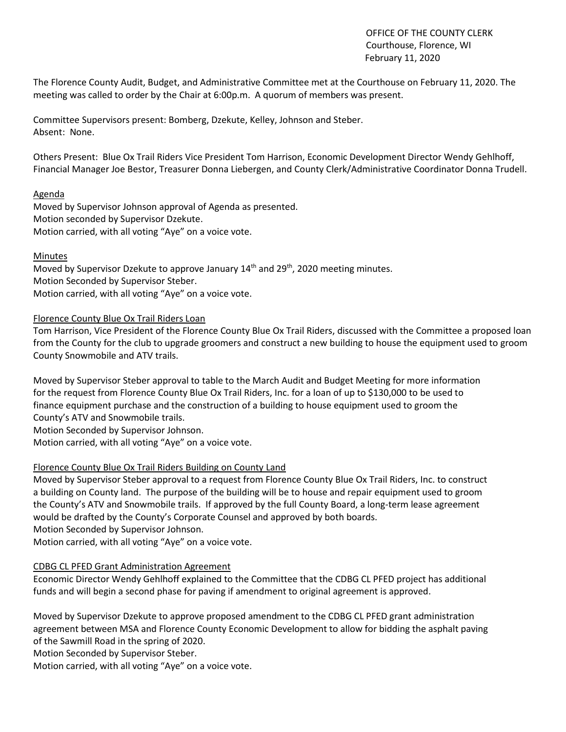OFFICE OF THE COUNTY CLERK Courthouse, Florence, WI February 11, 2020

The Florence County Audit, Budget, and Administrative Committee met at the Courthouse on February 11, 2020. The meeting was called to order by the Chair at 6:00p.m. A quorum of members was present.

Committee Supervisors present: Bomberg, Dzekute, Kelley, Johnson and Steber. Absent: None.

Others Present: Blue Ox Trail Riders Vice President Tom Harrison, Economic Development Director Wendy Gehlhoff, Financial Manager Joe Bestor, Treasurer Donna Liebergen, and County Clerk/Administrative Coordinator Donna Trudell.

### Agenda

Moved by Supervisor Johnson approval of Agenda as presented. Motion seconded by Supervisor Dzekute. Motion carried, with all voting "Aye" on a voice vote.

#### Minutes

Moved by Supervisor Dzekute to approve January  $14<sup>th</sup>$  and  $29<sup>th</sup>$ , 2020 meeting minutes. Motion Seconded by Supervisor Steber. Motion carried, with all voting "Aye" on a voice vote.

### Florence County Blue Ox Trail Riders Loan

Tom Harrison, Vice President of the Florence County Blue Ox Trail Riders, discussed with the Committee a proposed loan from the County for the club to upgrade groomers and construct a new building to house the equipment used to groom County Snowmobile and ATV trails.

Moved by Supervisor Steber approval to table to the March Audit and Budget Meeting for more information for the request from Florence County Blue Ox Trail Riders, Inc. for a loan of up to \$130,000 to be used to finance equipment purchase and the construction of a building to house equipment used to groom the County's ATV and Snowmobile trails.

Motion Seconded by Supervisor Johnson.

Motion carried, with all voting "Aye" on a voice vote.

### Florence County Blue Ox Trail Riders Building on County Land

Moved by Supervisor Steber approval to a request from Florence County Blue Ox Trail Riders, Inc. to construct a building on County land. The purpose of the building will be to house and repair equipment used to groom the County's ATV and Snowmobile trails. If approved by the full County Board, a long-term lease agreement would be drafted by the County's Corporate Counsel and approved by both boards. Motion Seconded by Supervisor Johnson.

Motion carried, with all voting "Aye" on a voice vote.

### CDBG CL PFED Grant Administration Agreement

Economic Director Wendy Gehlhoff explained to the Committee that the CDBG CL PFED project has additional funds and will begin a second phase for paving if amendment to original agreement is approved.

Moved by Supervisor Dzekute to approve proposed amendment to the CDBG CL PFED grant administration agreement between MSA and Florence County Economic Development to allow for bidding the asphalt paving of the Sawmill Road in the spring of 2020.

Motion Seconded by Supervisor Steber.

Motion carried, with all voting "Aye" on a voice vote.